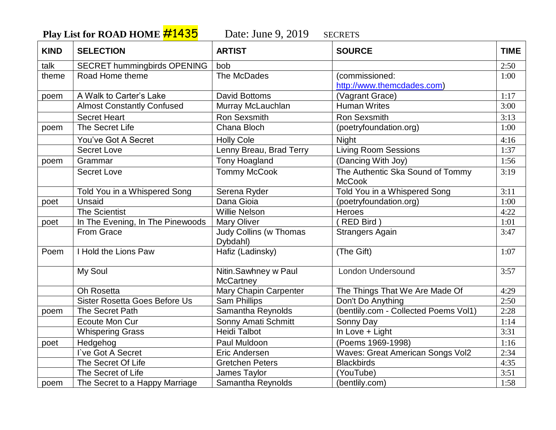Play List for ROAD HOME **#1435** Date: June 9, 2019 SECRETS

| <b>KIND</b> | <b>SELECTION</b>                   | <b>ARTIST</b>                             | <b>SOURCE</b>                           | <b>TIME</b> |
|-------------|------------------------------------|-------------------------------------------|-----------------------------------------|-------------|
| talk        | <b>SECRET hummingbirds OPENING</b> | bob                                       |                                         | 2:50        |
| theme       | Road Home theme                    | The McDades                               | (commissioned:                          | 1:00        |
|             |                                    |                                           | http://www.themcdades.com)              |             |
| poem        | A Walk to Carter's Lake            | <b>David Bottoms</b>                      | (Vagrant Grace)                         | 1:17        |
|             | <b>Almost Constantly Confused</b>  | Murray McLauchlan                         | <b>Human Writes</b>                     | 3:00        |
|             | <b>Secret Heart</b>                | Ron Sexsmith                              | Ron Sexsmith                            | 3:13        |
| poem        | The Secret Life                    | Chana Bloch                               | (poetryfoundation.org)                  | 1:00        |
|             | You've Got A Secret                | <b>Holly Cole</b>                         | <b>Night</b>                            | 4:16        |
|             | <b>Secret Love</b>                 | Lenny Breau, Brad Terry                   | <b>Living Room Sessions</b>             | 1:37        |
| poem        | Grammar                            | <b>Tony Hoagland</b>                      | (Dancing With Joy)                      | 1:56        |
|             | <b>Secret Love</b>                 | <b>Tommy McCook</b>                       | The Authentic Ska Sound of Tommy        | 3:19        |
|             |                                    |                                           | <b>McCook</b>                           |             |
|             | Told You in a Whispered Song       | Serena Ryder                              | Told You in a Whispered Song            | 3:11        |
| poet        | Unsaid                             | Dana Gioia                                | (poetryfoundation.org)                  | 1:00        |
|             | <b>The Scientist</b>               | <b>Willie Nelson</b>                      | Heroes                                  | 4:22        |
| poet        | In The Evening, In The Pinewoods   | Mary Oliver                               | (RED Bird)                              | 1:01        |
|             | From Grace                         | <b>Judy Collins (w Thomas</b><br>Dybdahl) | <b>Strangers Again</b>                  | 3:47        |
| Poem        | I Hold the Lions Paw               | Hafiz (Ladinsky)                          | (The Gift)                              | 1:07        |
|             | My Soul                            | Nitin.Sawhney w Paul<br><b>McCartney</b>  | <b>London Undersound</b>                | 3:57        |
|             | Oh Rosetta                         | Mary Chapin Carpenter                     | The Things That We Are Made Of          | 4:29        |
|             | Sister Rosetta Goes Before Us      | <b>Sam Phillips</b>                       | Don't Do Anything                       | 2:50        |
| poem        | The Secret Path                    | Samantha Reynolds                         | (bentlily.com - Collected Poems Vol1)   | 2:28        |
|             | Ecoute Mon Cur                     | <b>Sonny Amati Schmitt</b>                | Sonny Day                               | 1:14        |
|             | <b>Whispering Grass</b>            | <b>Heidi Talbot</b>                       | In Love + Light                         | 3:31        |
| poet        | Hedgehog                           | Paul Muldoon                              | (Poems 1969-1998)                       | 1:16        |
|             | I've Got A Secret                  | Eric Andersen                             | <b>Waves: Great American Songs Vol2</b> | 2:34        |
|             | The Secret Of Life                 | <b>Gretchen Peters</b>                    | <b>Blackbirds</b>                       | 4:35        |
|             | The Secret of Life                 | James Taylor                              | (YouTube)                               | 3:51        |
| poem        | The Secret to a Happy Marriage     | Samantha Reynolds                         | (bentlily.com)                          | 1:58        |